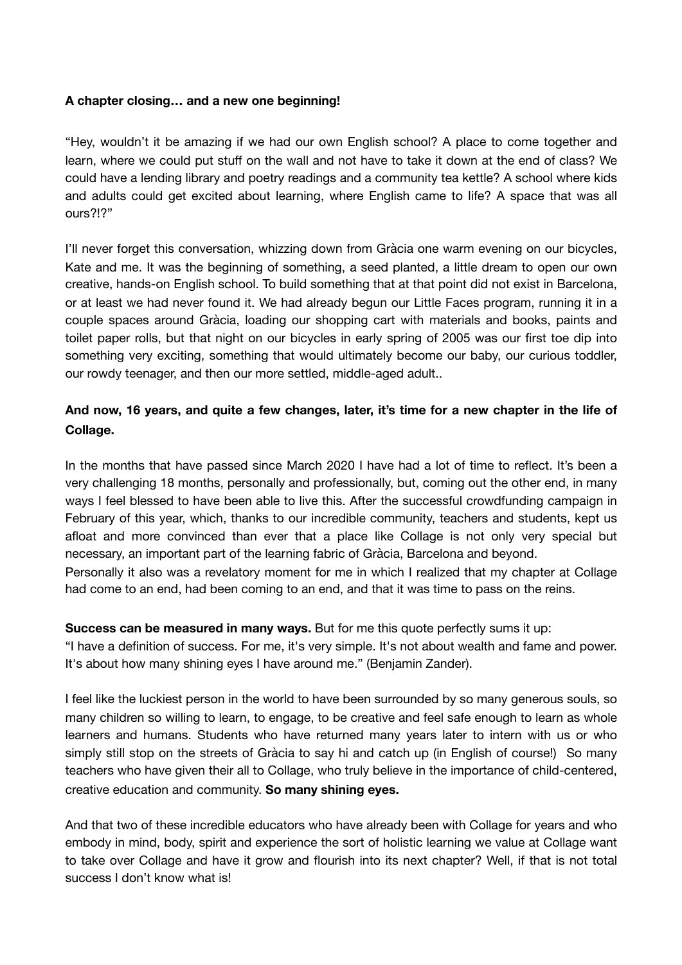## **A chapter closing… and a new one beginning!**

"Hey, wouldn't it be amazing if we had our own English school? A place to come together and learn, where we could put stuff on the wall and not have to take it down at the end of class? We could have a lending library and poetry readings and a community tea kettle? A school where kids and adults could get excited about learning, where English came to life? A space that was all ours?!?"

I'll never forget this conversation, whizzing down from Gràcia one warm evening on our bicycles, Kate and me. It was the beginning of something, a seed planted, a little dream to open our own creative, hands-on English school. To build something that at that point did not exist in Barcelona, or at least we had never found it. We had already begun our Little Faces program, running it in a couple spaces around Gràcia, loading our shopping cart with materials and books, paints and toilet paper rolls, but that night on our bicycles in early spring of 2005 was our first toe dip into something very exciting, something that would ultimately become our baby, our curious toddler, our rowdy teenager, and then our more settled, middle-aged adult..

## **And now, 16 years, and quite a few changes, later, it's time for a new chapter in the life of Collage.**

In the months that have passed since March 2020 I have had a lot of time to reflect. It's been a very challenging 18 months, personally and professionally, but, coming out the other end, in many ways I feel blessed to have been able to live this. After the successful crowdfunding campaign in February of this year, which, thanks to our incredible community, teachers and students, kept us afloat and more convinced than ever that a place like Collage is not only very special but necessary, an important part of the learning fabric of Gràcia, Barcelona and beyond.

Personally it also was a revelatory moment for me in which I realized that my chapter at Collage had come to an end, had been coming to an end, and that it was time to pass on the reins.

## **Success can be measured in many ways.** But for me this quote perfectly sums it up:

"I have a definition of success. For me, it's very simple. It's not about wealth and fame and power. It's about how many shining eyes I have around me." (Benjamin Zander).

I feel like the luckiest person in the world to have been surrounded by so many generous souls, so many children so willing to learn, to engage, to be creative and feel safe enough to learn as whole learners and humans. Students who have returned many years later to intern with us or who simply still stop on the streets of Gràcia to say hi and catch up (in English of course!) So many teachers who have given their all to Collage, who truly believe in the importance of child-centered, creative education and community. **So many shining eyes.**

And that two of these incredible educators who have already been with Collage for years and who embody in mind, body, spirit and experience the sort of holistic learning we value at Collage want to take over Collage and have it grow and flourish into its next chapter? Well, if that is not total success I don't know what is!